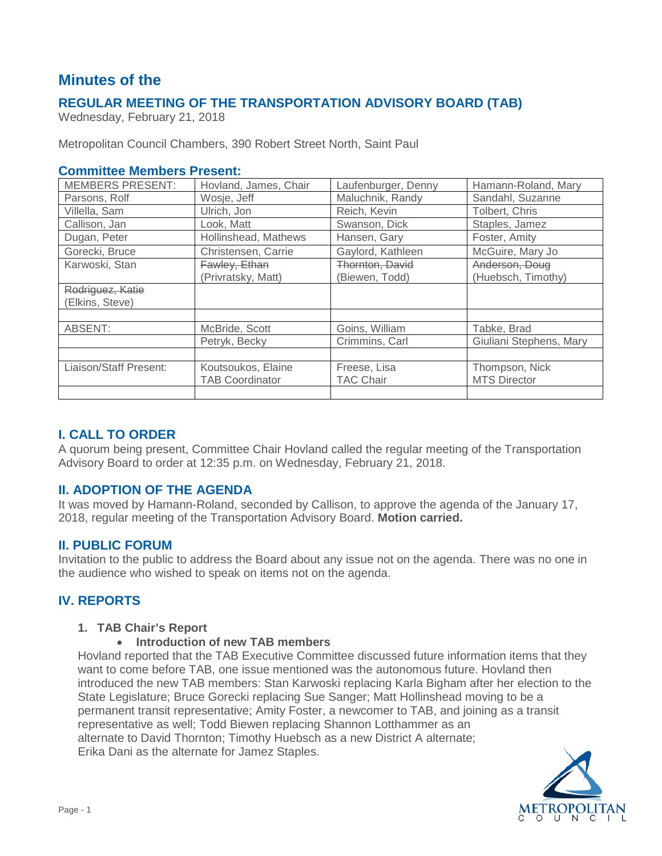# **Minutes of the**

# **REGULAR MEETING OF THE TRANSPORTATION ADVISORY BOARD (TAB)**

Wednesday, February 21, 2018

Metropolitan Council Chambers, 390 Robert Street North, Saint Paul

#### **Committee Members Present:**

| <b>MEMBERS PRESENT:</b> | Hovland, James, Chair  | Laufenburger, Denny | Hamann-Roland, Mary     |
|-------------------------|------------------------|---------------------|-------------------------|
| Parsons, Rolf           | Wosje, Jeff            | Maluchnik, Randy    | Sandahl, Suzanne        |
| Villella, Sam           | Ulrich, Jon            | Reich, Kevin        | Tolbert, Chris          |
| Callison, Jan           | Look, Matt             | Swanson, Dick       | Staples, Jamez          |
| Dugan, Peter            | Hollinshead, Mathews   | Hansen, Gary        | Foster, Amity           |
| Gorecki, Bruce          | Christensen, Carrie    | Gaylord, Kathleen   | McGuire, Mary Jo        |
| Karwoski, Stan          | Fawley, Ethan          | Thornton, David     | Anderson, Doug          |
|                         | (Privratsky, Matt)     | (Biewen, Todd)      | (Huebsch, Timothy)      |
| Rodriguez, Katie        |                        |                     |                         |
| (Elkins, Steve)         |                        |                     |                         |
|                         |                        |                     |                         |
| ABSENT:                 | McBride, Scott         | Goins, William      | Tabke, Brad             |
|                         | Petryk, Becky          | Crimmins, Carl      | Giuliani Stephens, Mary |
|                         |                        |                     |                         |
| Liaison/Staff Present:  | Koutsoukos, Elaine     | Freese, Lisa        | Thompson, Nick          |
|                         | <b>TAB Coordinator</b> | <b>TAC Chair</b>    | <b>MTS Director</b>     |
|                         |                        |                     |                         |

## **I. CALL TO ORDER**

A quorum being present, Committee Chair Hovland called the regular meeting of the Transportation Advisory Board to order at 12:35 p.m. on Wednesday, February 21, 2018.

### **II. ADOPTION OF THE AGENDA**

It was moved by Hamann-Roland, seconded by Callison, to approve the agenda of the January 17, 2018, regular meeting of the Transportation Advisory Board. **Motion carried.**

### **II. PUBLIC FORUM**

Invitation to the public to address the Board about any issue not on the agenda. There was no one in the audience who wished to speak on items not on the agenda.

# **IV. REPORTS**

#### **1. TAB Chair's Report**

#### • **Introduction of new TAB members**

Hovland reported that the TAB Executive Committee discussed future information items that they want to come before TAB, one issue mentioned was the autonomous future. Hovland then introduced the new TAB members: Stan Karwoski replacing Karla Bigham after her election to the State Legislature; Bruce Gorecki replacing Sue Sanger; Matt Hollinshead moving to be a permanent transit representative; Amity Foster, a newcomer to TAB, and joining as a transit representative as well; Todd Biewen replacing Shannon Lotthammer as an alternate to David Thornton; Timothy Huebsch as a new District A alternate; Erika Dani as the alternate for Jamez Staples.

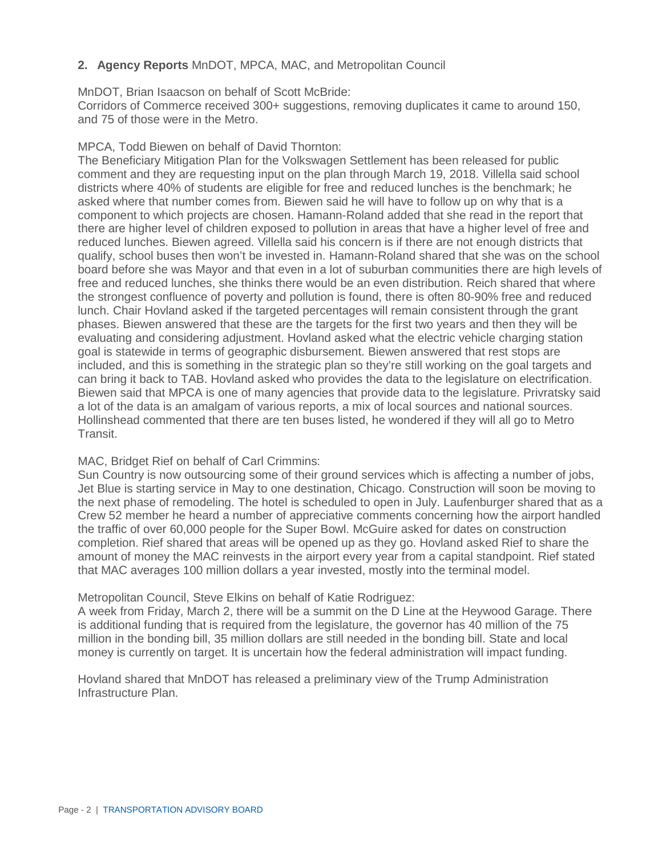#### **2. Agency Reports** MnDOT, MPCA, MAC, and Metropolitan Council

MnDOT, Brian Isaacson on behalf of Scott McBride: Corridors of Commerce received 300+ suggestions, removing duplicates it came to around 150,

and 75 of those were in the Metro.

#### MPCA, Todd Biewen on behalf of David Thornton:

The Beneficiary Mitigation Plan for the Volkswagen Settlement has been released for public comment and they are requesting input on the plan through March 19, 2018. Villella said school districts where 40% of students are eligible for free and reduced lunches is the benchmark; he asked where that number comes from. Biewen said he will have to follow up on why that is a component to which projects are chosen. Hamann-Roland added that she read in the report that there are higher level of children exposed to pollution in areas that have a higher level of free and reduced lunches. Biewen agreed. Villella said his concern is if there are not enough districts that qualify, school buses then won't be invested in. Hamann-Roland shared that she was on the school board before she was Mayor and that even in a lot of suburban communities there are high levels of free and reduced lunches, she thinks there would be an even distribution. Reich shared that where the strongest confluence of poverty and pollution is found, there is often 80-90% free and reduced lunch. Chair Hovland asked if the targeted percentages will remain consistent through the grant phases. Biewen answered that these are the targets for the first two years and then they will be evaluating and considering adjustment. Hovland asked what the electric vehicle charging station goal is statewide in terms of geographic disbursement. Biewen answered that rest stops are included, and this is something in the strategic plan so they're still working on the goal targets and can bring it back to TAB. Hovland asked who provides the data to the legislature on electrification. Biewen said that MPCA is one of many agencies that provide data to the legislature. Privratsky said a lot of the data is an amalgam of various reports, a mix of local sources and national sources. Hollinshead commented that there are ten buses listed, he wondered if they will all go to Metro Transit.

#### MAC, Bridget Rief on behalf of Carl Crimmins:

Sun Country is now outsourcing some of their ground services which is affecting a number of jobs, Jet Blue is starting service in May to one destination, Chicago. Construction will soon be moving to the next phase of remodeling. The hotel is scheduled to open in July. Laufenburger shared that as a Crew 52 member he heard a number of appreciative comments concerning how the airport handled the traffic of over 60,000 people for the Super Bowl. McGuire asked for dates on construction completion. Rief shared that areas will be opened up as they go. Hovland asked Rief to share the amount of money the MAC reinvests in the airport every year from a capital standpoint. Rief stated that MAC averages 100 million dollars a year invested, mostly into the terminal model.

#### Metropolitan Council, Steve Elkins on behalf of Katie Rodriguez:

A week from Friday, March 2, there will be a summit on the D Line at the Heywood Garage. There is additional funding that is required from the legislature, the governor has 40 million of the 75 million in the bonding bill, 35 million dollars are still needed in the bonding bill. State and local money is currently on target. It is uncertain how the federal administration will impact funding.

Hovland shared that MnDOT has released a preliminary view of the Trump Administration Infrastructure Plan.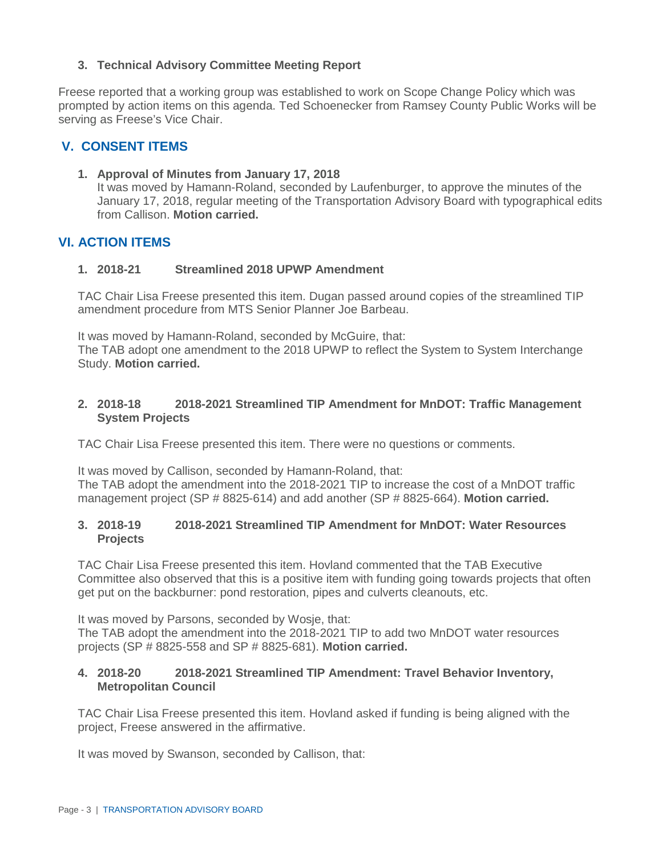### **3. Technical Advisory Committee Meeting Report**

Freese reported that a working group was established to work on Scope Change Policy which was prompted by action items on this agenda. Ted Schoenecker from Ramsey County Public Works will be serving as Freese's Vice Chair.

## **V. CONSENT ITEMS**

#### **1. Approval of Minutes from January 17, 2018**

It was moved by Hamann-Roland, seconded by Laufenburger, to approve the minutes of the January 17, 2018, regular meeting of the Transportation Advisory Board with typographical edits from Callison. **Motion carried.**

#### **VI. ACTION ITEMS**

#### **1. 2018-21 Streamlined 2018 UPWP Amendment**

TAC Chair Lisa Freese presented this item. Dugan passed around copies of the streamlined TIP amendment procedure from MTS Senior Planner Joe Barbeau.

It was moved by Hamann-Roland, seconded by McGuire, that:

The TAB adopt one amendment to the 2018 UPWP to reflect the System to System Interchange Study. **Motion carried.**

#### **2. 2018-18 2018-2021 Streamlined TIP Amendment for MnDOT: Traffic Management System Projects**

TAC Chair Lisa Freese presented this item. There were no questions or comments.

It was moved by Callison, seconded by Hamann-Roland, that:

The TAB adopt the amendment into the 2018-2021 TIP to increase the cost of a MnDOT traffic management project (SP # 8825-614) and add another (SP # 8825-664). **Motion carried.**

#### **3. 2018-19 2018-2021 Streamlined TIP Amendment for MnDOT: Water Resources Projects**

TAC Chair Lisa Freese presented this item. Hovland commented that the TAB Executive Committee also observed that this is a positive item with funding going towards projects that often get put on the backburner: pond restoration, pipes and culverts cleanouts, etc.

It was moved by Parsons, seconded by Wosje, that: The TAB adopt the amendment into the 2018-2021 TIP to add two MnDOT water resources projects (SP # 8825-558 and SP # 8825-681). **Motion carried.**

#### **4. 2018-20 2018-2021 Streamlined TIP Amendment: Travel Behavior Inventory, Metropolitan Council**

TAC Chair Lisa Freese presented this item. Hovland asked if funding is being aligned with the project, Freese answered in the affirmative.

It was moved by Swanson, seconded by Callison, that: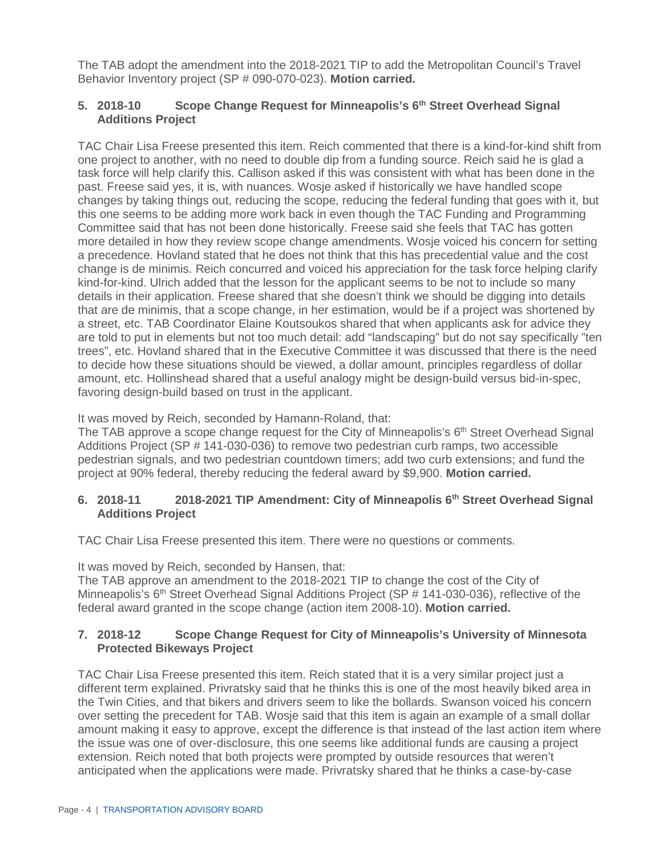The TAB adopt the amendment into the 2018-2021 TIP to add the Metropolitan Council's Travel Behavior Inventory project (SP # 090-070-023). **Motion carried.**

#### **5. 2018-10 Scope Change Request for Minneapolis's 6th Street Overhead Signal Additions Project**

TAC Chair Lisa Freese presented this item. Reich commented that there is a kind-for-kind shift from one project to another, with no need to double dip from a funding source. Reich said he is glad a task force will help clarify this. Callison asked if this was consistent with what has been done in the past. Freese said yes, it is, with nuances. Wosje asked if historically we have handled scope changes by taking things out, reducing the scope, reducing the federal funding that goes with it, but this one seems to be adding more work back in even though the TAC Funding and Programming Committee said that has not been done historically. Freese said she feels that TAC has gotten more detailed in how they review scope change amendments. Wosje voiced his concern for setting a precedence. Hovland stated that he does not think that this has precedential value and the cost change is de minimis. Reich concurred and voiced his appreciation for the task force helping clarify kind-for-kind. Ulrich added that the lesson for the applicant seems to be not to include so many details in their application. Freese shared that she doesn't think we should be digging into details that are de minimis, that a scope change, in her estimation, would be if a project was shortened by a street, etc. TAB Coordinator Elaine Koutsoukos shared that when applicants ask for advice they are told to put in elements but not too much detail: add "landscaping" but do not say specifically "ten trees", etc. Hovland shared that in the Executive Committee it was discussed that there is the need to decide how these situations should be viewed, a dollar amount, principles regardless of dollar amount, etc. Hollinshead shared that a useful analogy might be design-build versus bid-in-spec, favoring design-build based on trust in the applicant.

It was moved by Reich, seconded by Hamann-Roland, that:

The TAB approve a scope change request for the City of Minneapolis's  $6<sup>th</sup>$  Street Overhead Signal Additions Project (SP # 141-030-036) to remove two pedestrian curb ramps, two accessible pedestrian signals, and two pedestrian countdown timers; add two curb extensions; and fund the project at 90% federal, thereby reducing the federal award by \$9,900. **Motion carried.**

#### **6. 2018-11 2018-2021 TIP Amendment: City of Minneapolis 6th Street Overhead Signal Additions Project**

TAC Chair Lisa Freese presented this item. There were no questions or comments.

It was moved by Reich, seconded by Hansen, that:

The TAB approve an amendment to the 2018-2021 TIP to change the cost of the City of Minneapolis's 6<sup>th</sup> Street Overhead Signal Additions Project (SP # 141-030-036), reflective of the federal award granted in the scope change (action item 2008-10). **Motion carried.**

#### **7. 2018-12 Scope Change Request for City of Minneapolis's University of Minnesota Protected Bikeways Project**

TAC Chair Lisa Freese presented this item. Reich stated that it is a very similar project just a different term explained. Privratsky said that he thinks this is one of the most heavily biked area in the Twin Cities, and that bikers and drivers seem to like the bollards. Swanson voiced his concern over setting the precedent for TAB. Wosje said that this item is again an example of a small dollar amount making it easy to approve, except the difference is that instead of the last action item where the issue was one of over-disclosure, this one seems like additional funds are causing a project extension. Reich noted that both projects were prompted by outside resources that weren't anticipated when the applications were made. Privratsky shared that he thinks a case-by-case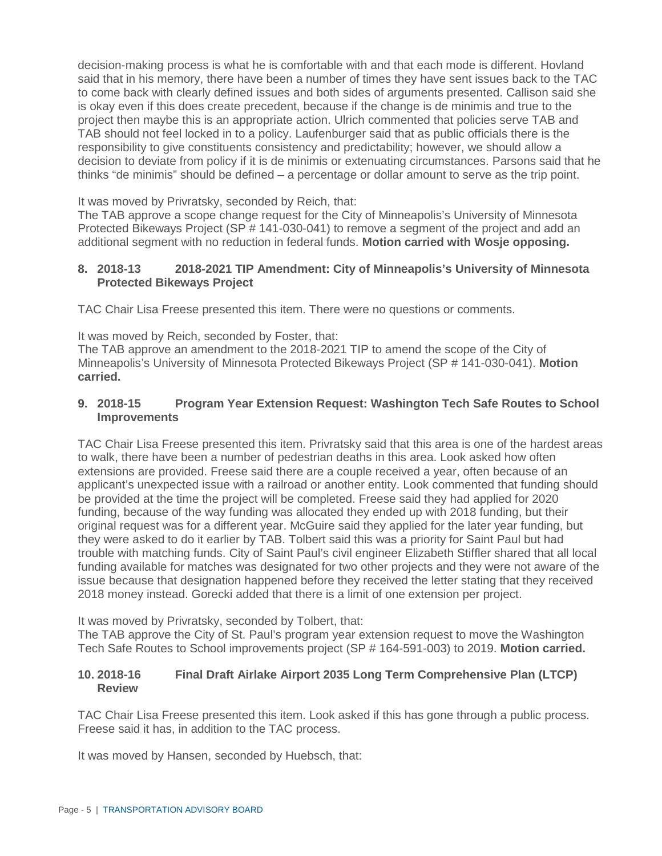decision-making process is what he is comfortable with and that each mode is different. Hovland said that in his memory, there have been a number of times they have sent issues back to the TAC to come back with clearly defined issues and both sides of arguments presented. Callison said she is okay even if this does create precedent, because if the change is de minimis and true to the project then maybe this is an appropriate action. Ulrich commented that policies serve TAB and TAB should not feel locked in to a policy. Laufenburger said that as public officials there is the responsibility to give constituents consistency and predictability; however, we should allow a decision to deviate from policy if it is de minimis or extenuating circumstances. Parsons said that he thinks "de minimis" should be defined – a percentage or dollar amount to serve as the trip point.

It was moved by Privratsky, seconded by Reich, that:

The TAB approve a scope change request for the City of Minneapolis's University of Minnesota Protected Bikeways Project (SP # 141-030-041) to remove a segment of the project and add an additional segment with no reduction in federal funds. **Motion carried with Wosje opposing.**

#### **8. 2018-13 2018-2021 TIP Amendment: City of Minneapolis's University of Minnesota Protected Bikeways Project**

TAC Chair Lisa Freese presented this item. There were no questions or comments.

It was moved by Reich, seconded by Foster, that:

The TAB approve an amendment to the 2018-2021 TIP to amend the scope of the City of Minneapolis's University of Minnesota Protected Bikeways Project (SP # 141-030-041). **Motion carried.**

#### **9. 2018-15 Program Year Extension Request: Washington Tech Safe Routes to School Improvements**

TAC Chair Lisa Freese presented this item. Privratsky said that this area is one of the hardest areas to walk, there have been a number of pedestrian deaths in this area. Look asked how often extensions are provided. Freese said there are a couple received a year, often because of an applicant's unexpected issue with a railroad or another entity. Look commented that funding should be provided at the time the project will be completed. Freese said they had applied for 2020 funding, because of the way funding was allocated they ended up with 2018 funding, but their original request was for a different year. McGuire said they applied for the later year funding, but they were asked to do it earlier by TAB. Tolbert said this was a priority for Saint Paul but had trouble with matching funds. City of Saint Paul's civil engineer Elizabeth Stiffler shared that all local funding available for matches was designated for two other projects and they were not aware of the issue because that designation happened before they received the letter stating that they received 2018 money instead. Gorecki added that there is a limit of one extension per project.

It was moved by Privratsky, seconded by Tolbert, that:

The TAB approve the City of St. Paul's program year extension request to move the Washington Tech Safe Routes to School improvements project (SP # 164-591-003) to 2019. **Motion carried.**

#### **10. 2018-16 Final Draft Airlake Airport 2035 Long Term Comprehensive Plan (LTCP) Review**

TAC Chair Lisa Freese presented this item. Look asked if this has gone through a public process. Freese said it has, in addition to the TAC process.

It was moved by Hansen, seconded by Huebsch, that: